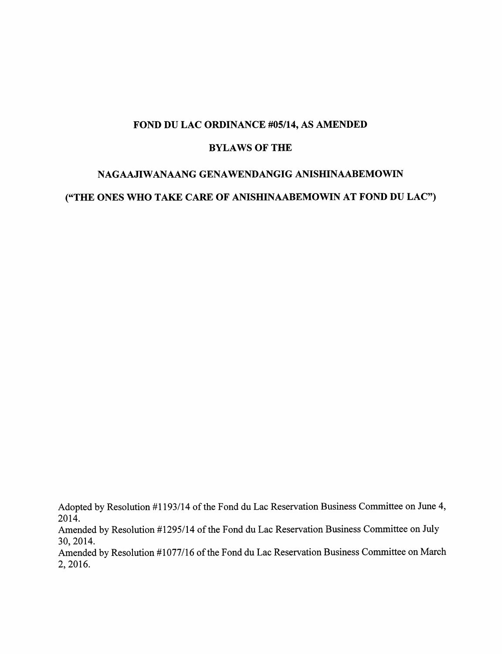## FOND DU LAC ORDINANCE #05/14, AS AMENDED

## BYLAWS OF THE

# NAGAAJIWANAANG GENAWENDANGIG ANISHINAABEMOWIN ("THE ONES WHO TAKE CARE OF ANISHINAABEMOWIN AT FOND DU LAC")

Adopted by Resolution #1193/14 of the Fond du Lac Reservation Business Committee on June 4, 2014.

Amended by Resolution #1295/14 of the Fond du Lac Reservation Business Committee on July 30,2014.

Amended by Resolution #1077/16 of the Fond du Lac Reservation Business Committee on March 2,2016.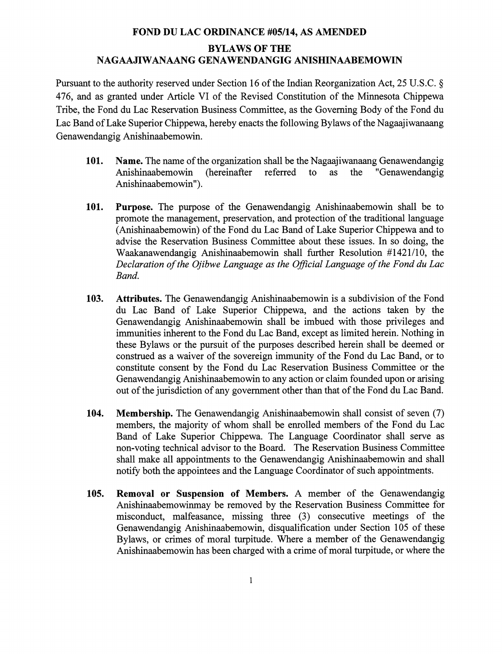# FOND DU LAC ORDINANCE #05/14, AS AMENDED BYLAWS OF THE NAGAAJIWANAANG GENAWENDANGIG ANISHINAABEMOWIN

Pursuant to the authority reserved under Section 16 of the Indian Reorganization Act, 25 U.S.C. § 476, and as granted under Article VI of the Revised Constitution of the Minnesota Chippewa Tribe, the Fond du Lac Reservation Business Committee, as the Governing Body of the Fond du Lac Band of Lake Superior Chippewa, hereby enacts the following Bylaws of the Nagaajiwanaang Genawendangig Anishinaabemowin.

- 101. Name. The name of the organization shall be the Nagaajiwanaang Genawendangig<br>Anishinaabemowin (hereinafter referred to as the "Genawendangig Anishinaabemowin Anishinaabemowin").
- 101. Purpose. The purpose of the Genawendangig Anishinaabemowin shall be to promote the management, preservation, and protection of the traditional language (Anishinaabemowin) of the Fond du Lac Band of Lake Superior Chippewa and to advise the Reservation Business Committee about these issues. In so doing, the Waakanawendangig Anishinaabemowin shall further Resolution #1421/10, the Declaration of the Ojibwe Language as the Official Language of the Fond du Lac Band.
- 103. Attributes. The Genawendangig Anishinaabemowin is a subdivision of the Fond du Lac Band of Lake Superior Chippewa, and the actions taken by the Genawendangig Anishinaabemowin shall be imbued with those privileges and immunities inherent to the Fond du Lac Band, except as limited herein. Nothing in these Bylaws or the pursuit of the purposes described herein shall be deemed or construed as a waiver of the sovereign inummity of the Fond du Lac Band, or to constitute consent by the Fond du Lac Reservation Business Committee or the Genawendangig Anishinaabemowin to any action or claim founded upon or arising out of the jurisdiction of any government other than that of the Fond du Lac Band.
- 104. Membership. The Genawendangig Anishinaabemowin shall consist of seven (7) members, the majority of whom shall be enrolled members of the Fond du Lac Band of Lake Superior Chippewa. The Language Coordinator shall serve as non-voting technical advisor to the Board. The Reservation Business Committee shall make all appointments to the Genawendangig Anishinaabemowin and shall notify both the appointees and the Language Coordinator of such appointments.
- 105. Removal or Suspension of Members. A member of the Genawendangig Anishinaabemowinmay be removed by the Reservation Business Committee for misconduct, malfeasance, missing three (3) consecutive meetings of the Genawendangig Anishinaabemowin, disqualification under Section 105 of these Bylaws, or crimes of moral turpitude. Where a member of the Genawendangig Anishinaabemowin has been charged with a crime of moral turpitude, or where the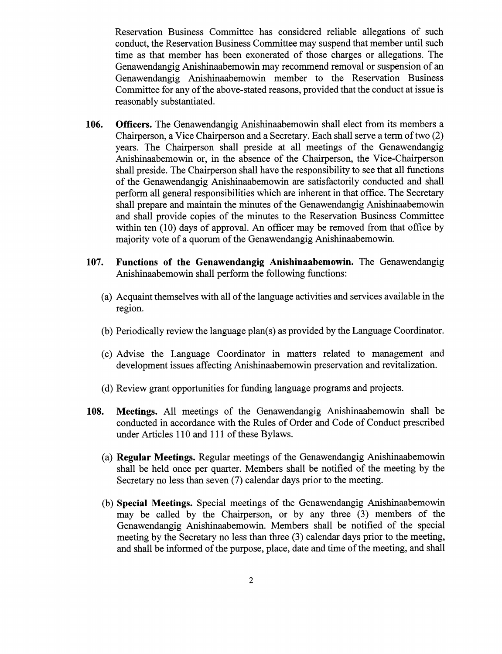Reservation Business Committee has considered reliable allegations of such conduct, the Reservation Business Committee may suspend that member until such time as that member has been exonerated of those charges or allegations. The Genawendangig Anishinaabemowin may recommend removal or suspension of an Genawendangig Anishinaabemowin member to the Reservation Business Committee for any of the above-stated reasons, provided that the conduct at issue is reasonably substantiated.

- 106. Officers. The Genawendangig Anishinaabemowin shall elect from its members a Chairperson, a Vice Chairperson and a Secretary. Each shall serve a term of two (2) years. The Chairperson shall preside at all meetings of the Genawendangig Anishinaabemowin or, in the absence of the Chairperson, the Vice-Chairperson shall preside. The Chairperson shall have the responsibility to see that all functions of the Genawendangig Anishinaabemowin are satisfactorily conducted and shall perform all general responsibilities which are inherent in that office. The Secretary shall prepare and maintain the minutes of the Genawendangig Anishinaabemowin and shall provide copies of the minutes to the Reservation Business Committee within ten (10) days of approval. An officer may be removed from that office by majority vote of a quorum of the Genawendangig Anishinaabemowin.
- 107. Functions of the Genawendangig Anishinaabemowin. The Genawendangig Anishinaabemowin shall perform the following functions:
	- (a) Acquaint themselves with all ofthe language activities and services available in the region.
	- (b) Periodically review the language plan(s) as provided by the Language Coordinator.
	- (c) Advise the Language Coordinator in matters related to management and development issues affecting Anishinaabemowin preservation and revitalization.
	- (d) Review grant opportunities for funding language programs and projects.
- 108. Meetings. All meetings of the Genawendangig Anishinaabemowin shall be conducted in accordance with the Rules of Order and Code of Conduct prescribed under Articles 110 and 111 of these Bylaws.
	- (a) Regular Meetings. Regular meetings of the Genawendangig Anishinaabemowin shall be held once per quarter. Members shall be notified of the meeting by the Secretary no less than seven (7) calendar days prior to the meeting.
	- (b) Special Meetings. Special meetings of the Genawendangig Anishinaabemowin may be called by the Chairperson, or by any three (3) members of the Genawendangig Anishinaabemowin. Members shall be notified of the special meeting by the Secretary no less than three (3) calendar days prior to the meeting, and shall be informed of the purpose, place, date and time of the meeting, and shall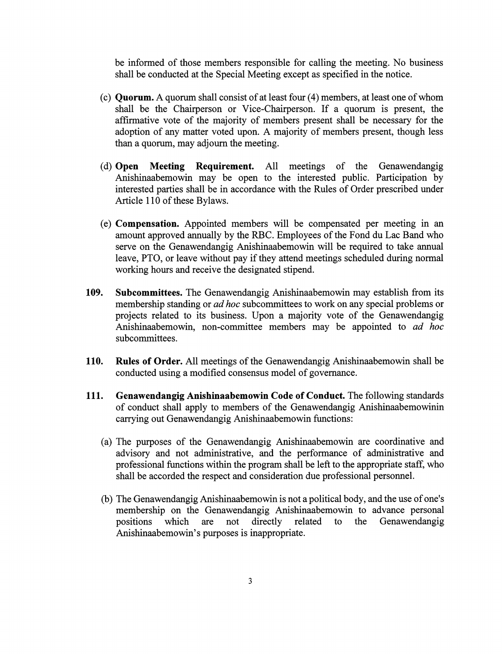be informed of those members responsible for calling the meeting. No business shall be conducted at the Special Meeting except as specified in the notice.

- (c) **Quorum.** A quorum shall consist of at least four  $(4)$  members, at least one of whom shall be the Chairperson or Vice-Chairperson. If a quorum is present, the affirmative vote of the majority of members present shall be necessary for the adoption of any matter voted upon. A majority of members present, though less than a quorum, may adjourn the meeting.
- (d) Open Meeting Requirement. All meetings of the Genawendangig Anishinaabemowin may be open to the interested public. Participation by interested parties shall be in accordance with the Rules of Order prescribed under Article 110 of these Bylaws.
- (e) Compensation. Appointed members will be compensated per meeting in an amount approved annually by the RBC. Employees of the Fond du Lac Band who serve on the Genawendangig Anishinaabemowin will be required to take annual leave, PTO, or leave without pay if they attend meetings scheduled during normal working hours and receive the designated stipend.
- 109. Subcommittees. The Genawendangig Anishinaabemowin may establish from its membership standing or ad hoc subcommittees to work on any special problems or projects related to its business. Upon a majority vote of the Genawendangig Anishinaabemowin, non-committee members may be appointed to ad hoc subcommittees.
- 110. Rules of Order. All meetings of the Genawendangig Anishinaabemowin shall be conducted using a modified consensus model of governance.
- 111. Genawendangig Anishinaabemowin Code of Conduct. The following standards of conduct shall apply to members of the Genawendangig Anishinaabemowinin carrying out Genawendangig Anishinaabemowin functions:
	- (a) The purposes of the Genawendangig Anishinaabemowin are coordinative and advisory and not administrative, and the performance of administrative and professional functions within the program shall be left to the appropriate staff, who shall be accorded the respect and consideration due professional personnel.
	- (b) The Genawendangig Anishinaabemowin is not a political body, and the use ofone's membership on the Genawendangig Anishinaabemowin to advance personal positions which are not directly related to the Genawendangig Anishinaabemowin's purposes is inappropriate.